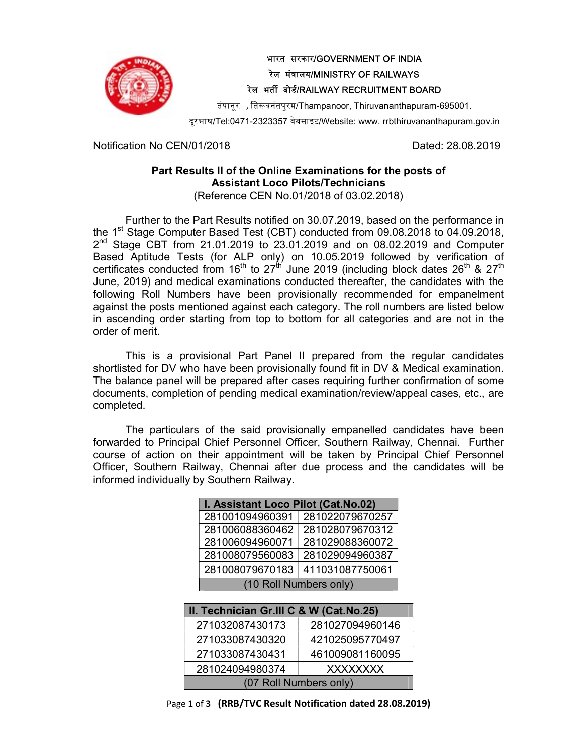

## भारत सरकार/GOVERNMENT OF INDIA रेल मंत्रालय/MINISTRY OF RAILWAYS रेल भर्ती बोर्ड/RAILWAY RECRUITMENT BOARD

तंपानूर , तिरूवनंतपुरम/Thampanoor, Thiruvananthapuram-695001.

दरूभाष/Tel:0471-2323357 वेबसाइट/Website: www. rrbthiruvananthapuram.gov.in

Notification No CEN/01/2018 **Dated: 28.08.2019** 

## Part Results II of the Online Examinations for the posts of Assistant Loco Pilots/Technicians (Reference CEN No.01/2018 of 03.02.2018)

Further to the Part Results notified on 30.07.2019, based on the performance in the 1<sup>st</sup> Stage Computer Based Test (CBT) conducted from 09.08.2018 to 04.09.2018, 2<sup>nd</sup> Stage CBT from 21.01.2019 to 23.01.2019 and on 08.02.2019 and Computer Based Aptitude Tests (for ALP only) on 10.05.2019 followed by verification of certificates conducted from 16<sup>th</sup> to 27<sup>th</sup> June 2019 (including block dates 26<sup>th</sup> & 27<sup>th</sup> June, 2019) and medical examinations conducted thereafter, the candidates with the following Roll Numbers have been provisionally recommended for empanelment against the posts mentioned against each category. The roll numbers are listed below in ascending order starting from top to bottom for all categories and are not in the order of merit.

This is a provisional Part Panel II prepared from the regular candidates shortlisted for DV who have been provisionally found fit in DV & Medical examination. The balance panel will be prepared after cases requiring further confirmation of some documents, completion of pending medical examination/review/appeal cases, etc., are completed.

The particulars of the said provisionally empanelled candidates have been forwarded to Principal Chief Personnel Officer, Southern Railway, Chennai. Further course of action on their appointment will be taken by Principal Chief Personnel Officer, Southern Railway, Chennai after due process and the candidates will be informed individually by Southern Railway.

| I. Assistant Loco Pilot (Cat.No.02) |                 |  |
|-------------------------------------|-----------------|--|
| 281001094960391                     | 281022079670257 |  |
| 281006088360462                     | 281028079670312 |  |
| 281006094960071                     | 281029088360072 |  |
| 281008079560083                     | 281029094960387 |  |
| 281008079670183                     | 411031087750061 |  |
| (10 Roll Numbers only)              |                 |  |
|                                     |                 |  |

| II. Technician Gr.III C & W (Cat.No.25) |                 |  |
|-----------------------------------------|-----------------|--|
| 271032087430173                         | 281027094960146 |  |
| 271033087430320                         | 421025095770497 |  |
| 271033087430431                         | 461009081160095 |  |
| 281024094980374                         | <b>XXXXXXXX</b> |  |
| (07 Roll Numbers only)                  |                 |  |

Page 1 of 3 (RRB/TVC Result Notification dated 28.08.2019)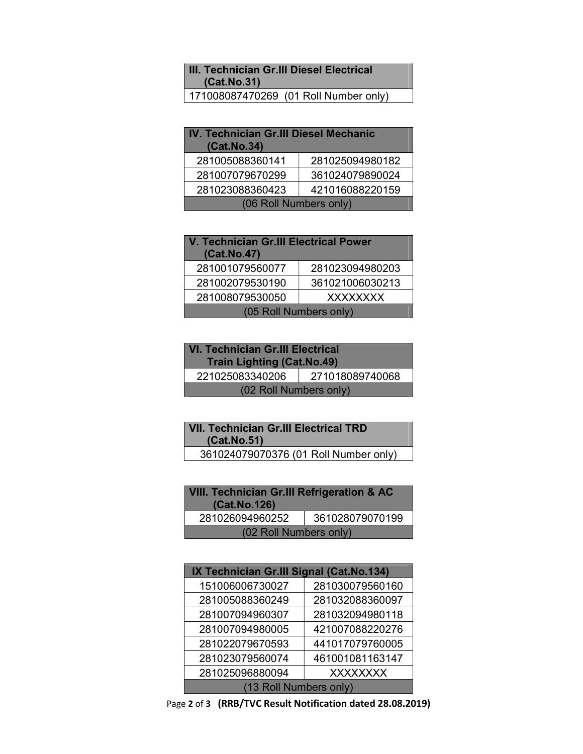## III. Technician Gr.III Diesel Electrical (Cat.No.31)

171008087470269 (01 Roll Number only)

| IV. Technician Gr.III Diesel Mechanic<br>(Cat.No.34) |                 |  |
|------------------------------------------------------|-----------------|--|
| 281005088360141                                      | 281025094980182 |  |
| 281007079670299                                      | 361024079890024 |  |
| 281023088360423                                      | 421016088220159 |  |
| (06 Roll Numbers only)                               |                 |  |

| <b>V. Technician Gr.III Electrical Power</b><br>(Cat.No.47) |                 |  |
|-------------------------------------------------------------|-----------------|--|
| 281001079560077                                             | 281023094980203 |  |
| 281002079530190                                             | 361021006030213 |  |
| 281008079530050                                             | <b>XXXXXXXX</b> |  |
| (05 Roll Numbers only)                                      |                 |  |

| <b>VI. Technician Gr.III Electrical</b><br><b>Train Lighting (Cat.No.49)</b> |                 |  |
|------------------------------------------------------------------------------|-----------------|--|
| 221025083340206                                                              | 271018089740068 |  |
| (02 Roll Numbers only)                                                       |                 |  |

| <b>VII. Technician Gr.III Electrical TRD</b><br>(Cat.No.51) |
|-------------------------------------------------------------|
| 361024079070376 (01 Roll Number only)                       |

| <b>VIII. Technician Gr.III Refrigeration &amp; AC</b><br>(Cat.No.126) |                 |  |
|-----------------------------------------------------------------------|-----------------|--|
| 281026094960252                                                       | 361028079070199 |  |
| (02 Roll Numbers only)                                                |                 |  |

| IX Technician Gr.III Signal (Cat.No.134) |                 |  |
|------------------------------------------|-----------------|--|
| 151006006730027                          | 281030079560160 |  |
| 281005088360249                          | 281032088360097 |  |
| 281007094960307                          | 281032094980118 |  |
| 281007094980005                          | 421007088220276 |  |
| 281022079670593                          | 441017079760005 |  |
| 281023079560074                          | 461001081163147 |  |
| 281025096880094                          | <b>XXXXXXXX</b> |  |
| (13 Roll Numbers only)                   |                 |  |

Page 2 of 3 (RRB/TVC Result Notification dated 28.08.2019)